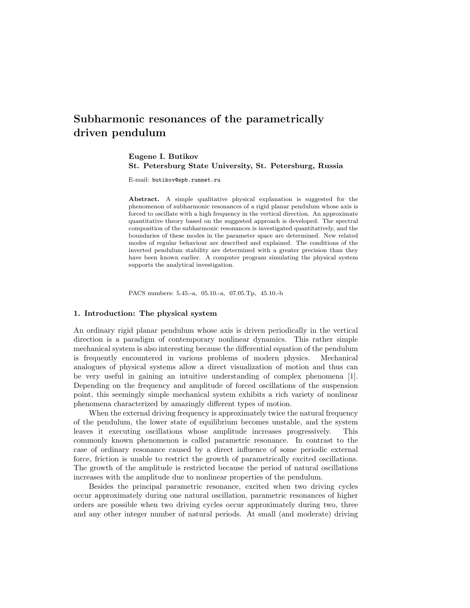# Eugene I. Butikov St. Petersburg State University, St. Petersburg, Russia

E-mail: butikov@spb.runnet.ru

Abstract. A simple qualitative physical explanation is suggested for the phenomenon of subharmonic resonances of a rigid planar pendulum whose axis is forced to oscillate with a high frequency in the vertical direction. An approximate quantitative theory based on the suggested approach is developed. The spectral composition of the subharmonic resonances is investigated quantitatively, and the boundaries of these modes in the parameter space are determined. New related modes of regular behaviour are described and explained. The conditions of the inverted pendulum stability are determined with a greater precision than they have been known earlier. A computer program simulating the physical system supports the analytical investigation.

PACS numbers: 5.45.-a, 05.10.-a, 07.05.Tp, 45.10.-b

# 1. Introduction: The physical system

An ordinary rigid planar pendulum whose axis is driven periodically in the vertical direction is a paradigm of contemporary nonlinear dynamics. This rather simple mechanical system is also interesting because the differential equation of the pendulum is frequently encountered in various problems of modern physics. Mechanical analogues of physical systems allow a direct visualization of motion and thus can be very useful in gaining an intuitive understanding of complex phenomena [1]. Depending on the frequency and amplitude of forced oscillations of the suspension point, this seemingly simple mechanical system exhibits a rich variety of nonlinear phenomena characterized by amazingly different types of motion.

When the external driving frequency is approximately twice the natural frequency of the pendulum, the lower state of equilibrium becomes unstable, and the system leaves it executing oscillations whose amplitude increases progressively. This commonly known phenomenon is called parametric resonance. In contrast to the case of ordinary resonance caused by a direct influence of some periodic external force, friction is unable to restrict the growth of parametrically excited oscillations. The growth of the amplitude is restricted because the period of natural oscillations increases with the amplitude due to nonlinear properties of the pendulum.

Besides the principal parametric resonance, excited when two driving cycles occur approximately during one natural oscillation, parametric resonances of higher orders are possible when two driving cycles occur approximately during two, three and any other integer number of natural periods. At small (and moderate) driving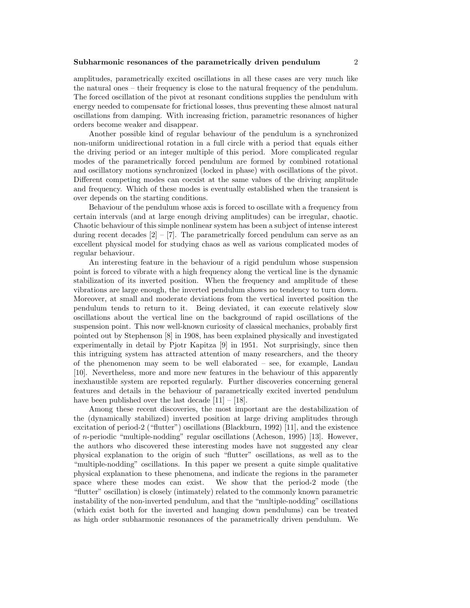amplitudes, parametrically excited oscillations in all these cases are very much like the natural ones – their frequency is close to the natural frequency of the pendulum. The forced oscillation of the pivot at resonant conditions supplies the pendulum with energy needed to compensate for frictional losses, thus preventing these almost natural oscillations from damping. With increasing friction, parametric resonances of higher orders become weaker and disappear.

Another possible kind of regular behaviour of the pendulum is a synchronized non-uniform unidirectional rotation in a full circle with a period that equals either the driving period or an integer multiple of this period. More complicated regular modes of the parametrically forced pendulum are formed by combined rotational and oscillatory motions synchronized (locked in phase) with oscillations of the pivot. Different competing modes can coexist at the same values of the driving amplitude and frequency. Which of these modes is eventually established when the transient is over depends on the starting conditions.

Behaviour of the pendulum whose axis is forced to oscillate with a frequency from certain intervals (and at large enough driving amplitudes) can be irregular, chaotic. Chaotic behaviour of this simple nonlinear system has been a subject of intense interest during recent decades  $[2] - [7]$ . The parametrically forced pendulum can serve as an excellent physical model for studying chaos as well as various complicated modes of regular behaviour.

An interesting feature in the behaviour of a rigid pendulum whose suspension point is forced to vibrate with a high frequency along the vertical line is the dynamic stabilization of its inverted position. When the frequency and amplitude of these vibrations are large enough, the inverted pendulum shows no tendency to turn down. Moreover, at small and moderate deviations from the vertical inverted position the pendulum tends to return to it. Being deviated, it can execute relatively slow oscillations about the vertical line on the background of rapid oscillations of the suspension point. This now well-known curiosity of classical mechanics, probably first pointed out by Stephenson [8] in 1908, has been explained physically and investigated experimentally in detail by Pjotr Kapitza [9] in 1951. Not surprisingly, since then this intriguing system has attracted attention of many researchers, and the theory of the phenomenon may seem to be well elaborated – see, for example, Landau [10]. Nevertheless, more and more new features in the behaviour of this apparently inexhaustible system are reported regularly. Further discoveries concerning general features and details in the behaviour of parametrically excited inverted pendulum have been published over the last decade  $[11] - [18]$ .

Among these recent discoveries, the most important are the destabilization of the (dynamically stabilized) inverted position at large driving amplitudes through excitation of period-2 ("flutter") oscillations (Blackburn, 1992) [11], and the existence of n-periodic "multiple-nodding" regular oscillations (Acheson, 1995) [13]. However, the authors who discovered these interesting modes have not suggested any clear physical explanation to the origin of such "flutter" oscillations, as well as to the "multiple-nodding" oscillations. In this paper we present a quite simple qualitative physical explanation to these phenomena, and indicate the regions in the parameter space where these modes can exist. We show that the period-2 mode (the "flutter" oscillation) is closely (intimately) related to the commonly known parametric instability of the non-inverted pendulum, and that the "multiple-nodding" oscillations (which exist both for the inverted and hanging down pendulums) can be treated as high order subharmonic resonances of the parametrically driven pendulum. We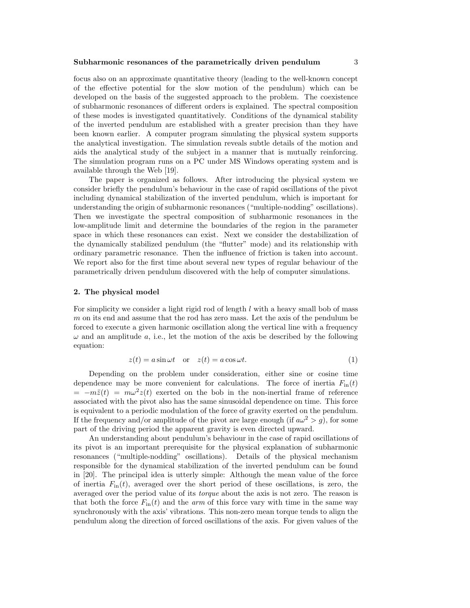focus also on an approximate quantitative theory (leading to the well-known concept of the effective potential for the slow motion of the pendulum) which can be developed on the basis of the suggested approach to the problem. The coexistence of subharmonic resonances of different orders is explained. The spectral composition of these modes is investigated quantitatively. Conditions of the dynamical stability of the inverted pendulum are established with a greater precision than they have been known earlier. A computer program simulating the physical system supports the analytical investigation. The simulation reveals subtle details of the motion and aids the analytical study of the subject in a manner that is mutually reinforcing. The simulation program runs on a PC under MS Windows operating system and is available through the Web [19].

The paper is organized as follows. After introducing the physical system we consider briefly the pendulum's behaviour in the case of rapid oscillations of the pivot including dynamical stabilization of the inverted pendulum, which is important for understanding the origin of subharmonic resonances ("multiple-nodding" oscillations). Then we investigate the spectral composition of subharmonic resonances in the low-amplitude limit and determine the boundaries of the region in the parameter space in which these resonances can exist. Next we consider the destabilization of the dynamically stabilized pendulum (the "flutter" mode) and its relationship with ordinary parametric resonance. Then the influence of friction is taken into account. We report also for the first time about several new types of regular behaviour of the parametrically driven pendulum discovered with the help of computer simulations.

# 2. The physical model

For simplicity we consider a light rigid rod of length l with a heavy small bob of mass m on its end and assume that the rod has zero mass. Let the axis of the pendulum be forced to execute a given harmonic oscillation along the vertical line with a frequency  $\omega$  and an amplitude a, i.e., let the motion of the axis be described by the following equation:

$$
z(t) = a\sin\omega t \quad \text{or} \quad z(t) = a\cos\omega t. \tag{1}
$$

Depending on the problem under consideration, either sine or cosine time dependence may be more convenient for calculations. The force of inertia  $F_{\text{in}}(t)$  $= -m\ddot{z}(t) = m\omega^2 z(t)$  exerted on the bob in the non-inertial frame of reference associated with the pivot also has the same sinusoidal dependence on time. This force is equivalent to a periodic modulation of the force of gravity exerted on the pendulum. If the frequency and/or amplitude of the pivot are large enough (if  $a\omega^2 > g$ ), for some part of the driving period the apparent gravity is even directed upward.

An understanding about pendulum's behaviour in the case of rapid oscillations of its pivot is an important prerequisite for the physical explanation of subharmonic resonances ("multiple-nodding" oscillations). Details of the physical mechanism responsible for the dynamical stabilization of the inverted pendulum can be found in [20]. The principal idea is utterly simple: Although the mean value of the force of inertia  $F_{\text{in}}(t)$ , averaged over the short period of these oscillations, is zero, the averaged over the period value of its *torque* about the axis is not zero. The reason is that both the force  $F_{\text{in}}(t)$  and the *arm* of this force vary with time in the same way synchronously with the axis' vibrations. This non-zero mean torque tends to align the pendulum along the direction of forced oscillations of the axis. For given values of the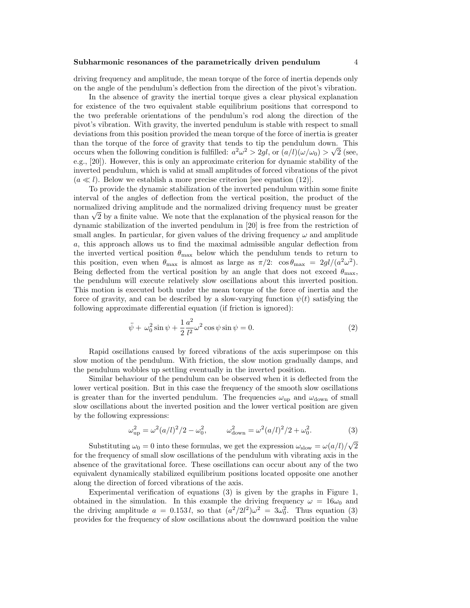driving frequency and amplitude, the mean torque of the force of inertia depends only on the angle of the pendulum's deflection from the direction of the pivot's vibration.

In the absence of gravity the inertial torque gives a clear physical explanation for existence of the two equivalent stable equilibrium positions that correspond to the two preferable orientations of the pendulum's rod along the direction of the pivot's vibration. With gravity, the inverted pendulum is stable with respect to small deviations from this position provided the mean torque of the force of inertia is greater than the torque of the force of gravity that tends to tip the pendulum down. This occurs when the following condition is fulfilled:  $a^2\omega^2 > 2gl$ , or  $(a/l)(\omega/\omega_0) > \sqrt{2}$  (see, e.g., [20]). However, this is only an approximate criterion for dynamic stability of the inverted pendulum, which is valid at small amplitudes of forced vibrations of the pivot  $(a \ll l)$ . Below we establish a more precise criterion [see equation (12)].

To provide the dynamic stabilization of the inverted pendulum within some finite interval of the angles of deflection from the vertical position, the product of the normalized driving amplitude and the normalized driving frequency must be greater normalized driving amplitude and the normalized driving frequency must be greater than  $\sqrt{2}$  by a finite value. We note that the explanation of the physical reason for the dynamic stabilization of the inverted pendulum in [20] is free from the restriction of small angles. In particular, for given values of the driving frequency  $\omega$  and amplitude a, this approach allows us to find the maximal admissible angular deflection from the inverted vertical position  $\theta_{\text{max}}$  below which the pendulum tends to return to this position, even when  $\theta_{\text{max}}$  is almost as large as  $\pi/2$ :  $\cos \theta_{\text{max}} = 2gl/(a^2\omega^2)$ . Being deflected from the vertical position by an angle that does not exceed  $\theta_{\text{max}}$ , the pendulum will execute relatively slow oscillations about this inverted position. This motion is executed both under the mean torque of the force of inertia and the force of gravity, and can be described by a slow-varying function  $\psi(t)$  satisfying the following approximate differential equation (if friction is ignored):

$$
\ddot{\psi} + \omega_0^2 \sin \psi + \frac{1}{2} \frac{a^2}{l^2} \omega^2 \cos \psi \sin \psi = 0.
$$
 (2)

Rapid oscillations caused by forced vibrations of the axis superimpose on this slow motion of the pendulum. With friction, the slow motion gradually damps, and the pendulum wobbles up settling eventually in the inverted position.

Similar behaviour of the pendulum can be observed when it is deflected from the lower vertical position. But in this case the frequency of the smooth slow oscillations is greater than for the inverted pendulum. The frequencies  $\omega_{\text{up}}$  and  $\omega_{\text{down}}$  of small slow oscillations about the inverted position and the lower vertical position are given by the following expressions:

$$
\omega_{\rm up}^2 = \omega^2 (a/l)^2 / 2 - \omega_0^2, \qquad \omega_{\rm down}^2 = \omega^2 (a/l)^2 / 2 + \omega_0^2. \tag{3}
$$

Substituting  $\omega_0 = 0$  into these formulas, we get the expression  $\omega_{slow} = \omega(a/l)/\sqrt{a/l}$ 2 for the frequency of small slow oscillations of the pendulum with vibrating axis in the absence of the gravitational force. These oscillations can occur about any of the two equivalent dynamically stabilized equilibrium positions located opposite one another along the direction of forced vibrations of the axis.

Experimental verification of equations (3) is given by the graphs in Figure 1, obtained in the simulation. In this example the driving frequency  $\omega = 16\omega_0$  and the driving amplitude  $a = 0.153 l$ , so that  $(a^2/2l^2)\omega^2 = 3\omega_0^2$ . Thus equation (3) provides for the frequency of slow oscillations about the downward position the value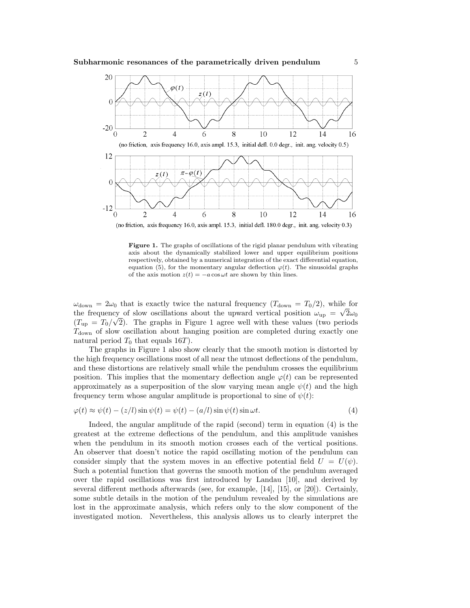

(no friction, axis frequency 16.0, axis ampl. 15.3, initial defl. 180.0 degr., init. ang. velocity 0.3)

Figure 1. The graphs of oscillations of the rigid planar pendulum with vibrating axis about the dynamically stabilized lower and upper equilibrium positions respectively, obtained by a numerical integration of the exact differential equation, equation (5), for the momentary angular deflection  $\varphi(t)$ . The sinusoidal graphs of the axis motion  $z(t) = -a \cos \omega t$  are shown by thin lines.

 $\omega_{\text{down}} = 2\omega_0$  that is exactly twice the natural frequency  $(T_{\text{down}} = T_0/2)$ , while for the frequency of slow oscillations about the upward vertical position  $\omega_{\text{up}} = \sqrt{2\omega_0}$  $(T_{\rm up} = T_0/\sqrt{2})$ . The graphs in Figure 1 agree well with these values (two periods  $T_{\text{down}}$  of slow oscillation about hanging position are completed during exactly one natural period  $T_0$  that equals 16T).

The graphs in Figure 1 also show clearly that the smooth motion is distorted by the high frequency oscillations most of all near the utmost deflections of the pendulum, and these distortions are relatively small while the pendulum crosses the equilibrium position. This implies that the momentary deflection angle  $\varphi(t)$  can be represented approximately as a superposition of the slow varying mean angle  $\psi(t)$  and the high frequency term whose angular amplitude is proportional to sine of  $\psi(t)$ :

$$
\varphi(t) \approx \psi(t) - (z/l)\sin\psi(t) = \psi(t) - (a/l)\sin\psi(t)\sin\omega t.
$$
\n(4)

Indeed, the angular amplitude of the rapid (second) term in equation (4) is the greatest at the extreme deflections of the pendulum, and this amplitude vanishes when the pendulum in its smooth motion crosses each of the vertical positions. An observer that doesn't notice the rapid oscillating motion of the pendulum can consider simply that the system moves in an effective potential field  $U = U(\psi)$ . Such a potential function that governs the smooth motion of the pendulum averaged over the rapid oscillations was first introduced by Landau [10], and derived by several different methods afterwards (see, for example, [14], [15], or [20]). Certainly, some subtle details in the motion of the pendulum revealed by the simulations are lost in the approximate analysis, which refers only to the slow component of the investigated motion. Nevertheless, this analysis allows us to clearly interpret the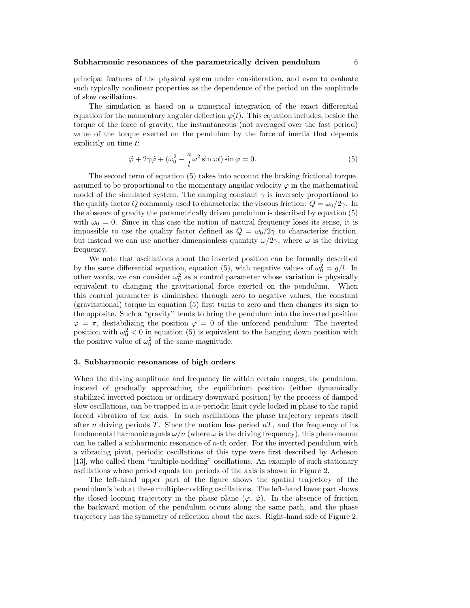principal features of the physical system under consideration, and even to evaluate such typically nonlinear properties as the dependence of the period on the amplitude of slow oscillations.

The simulation is based on a numerical integration of the exact differential equation for the momentary angular deflection  $\varphi(t)$ . This equation includes, beside the torque of the force of gravity, the instantaneous (not averaged over the fast period) value of the torque exerted on the pendulum by the force of inertia that depends explicitly on time  $t$ :

$$
\ddot{\varphi} + 2\gamma \dot{\varphi} + (\omega_0^2 - \frac{a}{l}\omega^2 \sin \omega t) \sin \varphi = 0.
$$
 (5)

The second term of equation (5) takes into account the braking frictional torque, assumed to be proportional to the momentary angular velocity  $\dot{\varphi}$  in the mathematical model of the simulated system. The damping constant  $\gamma$  is inversely proportional to the quality factor Q commonly used to characterize the viscous friction:  $Q = \omega_0/2\gamma$ . In the absence of gravity the parametrically driven pendulum is described by equation (5) with  $\omega_0 = 0$ . Since in this case the notion of natural frequency loses its sense, it is impossible to use the quality factor defined as  $Q = \omega_0/2\gamma$  to characterize friction, but instead we can use another dimensionless quantity  $\omega/2\gamma$ , where  $\omega$  is the driving frequency.

We note that oscillations about the inverted position can be formally described by the same differential equation, equation (5), with negative values of  $\omega_0^2 = g/l$ . In other words, we can consider  $\omega_0^2$  as a control parameter whose variation is physically equivalent to changing the gravitational force exerted on the pendulum. When this control parameter is diminished through zero to negative values, the constant (gravitational) torque in equation (5) first turns to zero and then changes its sign to the opposite. Such a "gravity" tends to bring the pendulum into the inverted position  $\varphi = \pi$ , destabilizing the position  $\varphi = 0$  of the unforced pendulum: The inverted position with  $\omega_0^2 < 0$  in equation (5) is equivalent to the hanging down position with the positive value of  $\omega_0^2$  of the same magnitude.

# 3. Subharmonic resonances of high orders

When the driving amplitude and frequency lie within certain ranges, the pendulum, instead of gradually approaching the equilibrium position (either dynamically stabilized inverted position or ordinary downward position) by the process of damped slow oscillations, can be trapped in a n-periodic limit cycle locked in phase to the rapid forced vibration of the axis. In such oscillations the phase trajectory repeats itself after *n* driving periods T. Since the motion has period  $nT$ , and the frequency of its fundamental harmonic equals  $\omega/n$  (where  $\omega$  is the driving frequency), this phenomenon can be called a subharmonic resonance of  $n$ -th order. For the inverted pendulum with a vibrating pivot, periodic oscillations of this type were first described by Acheson [13], who called them "multiple-nodding" oscillations. An example of such stationary oscillations whose period equals ten periods of the axis is shown in Figure 2.

The left-hand upper part of the figure shows the spatial trajectory of the pendulum's bob at these multiple-nodding oscillations. The left-hand lower part shows the closed looping trajectory in the phase plane  $(\varphi, \dot{\varphi})$ . In the absence of friction the backward motion of the pendulum occurs along the same path, and the phase trajectory has the symmetry of reflection about the axes. Right-hand side of Figure 2,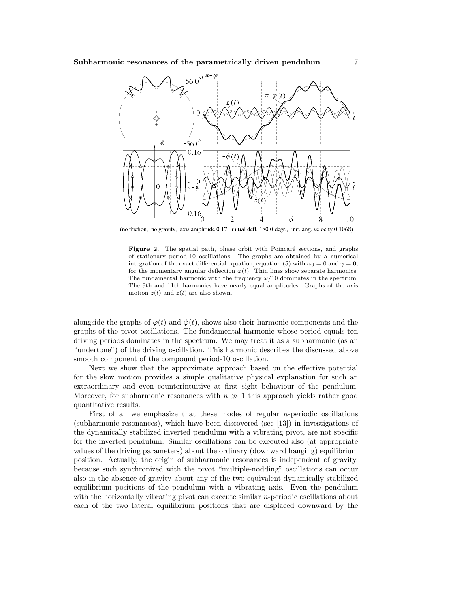

(no friction, no gravity, axis amplitude 0.17, initial defl. 180.0 degr., init. ang. velocity 0.1068)

Figure 2. The spatial path, phase orbit with Poincaré sections, and graphs of stationary period-10 oscillations. The graphs are obtained by a numerical integration of the exact differential equation, equation (5) with  $\omega_0 = 0$  and  $\gamma = 0$ , for the momentary angular deflection  $\varphi(t)$ . Thin lines show separate harmonics. The fundamental harmonic with the frequency  $\omega/10$  dominates in the spectrum. The 9th and 11th harmonics have nearly equal amplitudes. Graphs of the axis motion  $z(t)$  and  $\dot{z}(t)$  are also shown.

alongside the graphs of  $\varphi(t)$  and  $\dot{\varphi}(t)$ , shows also their harmonic components and the graphs of the pivot oscillations. The fundamental harmonic whose period equals ten driving periods dominates in the spectrum. We may treat it as a subharmonic (as an "undertone") of the driving oscillation. This harmonic describes the discussed above smooth component of the compound period-10 oscillation.

Next we show that the approximate approach based on the effective potential for the slow motion provides a simple qualitative physical explanation for such an extraordinary and even counterintuitive at first sight behaviour of the pendulum. Moreover, for subharmonic resonances with  $n \gg 1$  this approach yields rather good quantitative results.

First of all we emphasize that these modes of regular n-periodic oscillations (subharmonic resonances), which have been discovered (see [13]) in investigations of the dynamically stabilized inverted pendulum with a vibrating pivot, are not specific for the inverted pendulum. Similar oscillations can be executed also (at appropriate values of the driving parameters) about the ordinary (downward hanging) equilibrium position. Actually, the origin of subharmonic resonances is independent of gravity, because such synchronized with the pivot "multiple-nodding" oscillations can occur also in the absence of gravity about any of the two equivalent dynamically stabilized equilibrium positions of the pendulum with a vibrating axis. Even the pendulum with the horizontally vibrating pivot can execute similar *n*-periodic oscillations about each of the two lateral equilibrium positions that are displaced downward by the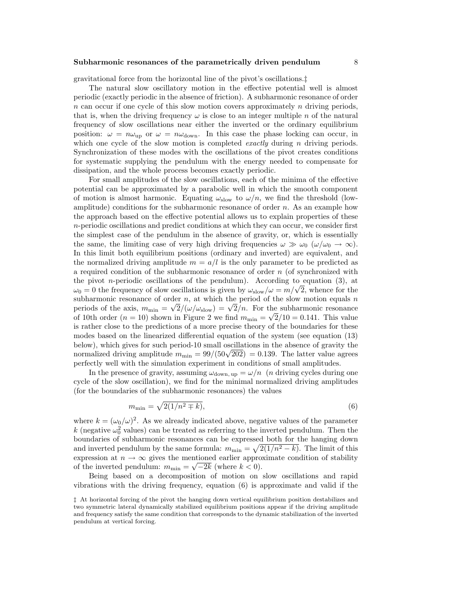gravitational force from the horizontal line of the pivot's oscillations.‡

The natural slow oscillatory motion in the effective potential well is almost periodic (exactly periodic in the absence of friction). A subharmonic resonance of order  $n$  can occur if one cycle of this slow motion covers approximately  $n$  driving periods, that is, when the driving frequency  $\omega$  is close to an integer multiple n of the natural frequency of slow oscillations near either the inverted or the ordinary equilibrium position:  $\omega = n\omega_{\text{up}}$  or  $\omega = n\omega_{\text{down}}$ . In this case the phase locking can occur, in which one cycle of the slow motion is completed *exactly* during  $n$  driving periods. Synchronization of these modes with the oscillations of the pivot creates conditions for systematic supplying the pendulum with the energy needed to compensate for dissipation, and the whole process becomes exactly periodic.

For small amplitudes of the slow oscillations, each of the minima of the effective potential can be approximated by a parabolic well in which the smooth component of motion is almost harmonic. Equating  $\omega_{slow}$  to  $\omega/n$ , we find the threshold (lowamplitude) conditions for the subharmonic resonance of order  $n$ . As an example how the approach based on the effective potential allows us to explain properties of these  $n$ -periodic oscillations and predict conditions at which they can occur, we consider first the simplest case of the pendulum in the absence of gravity, or, which is essentially the same, the limiting case of very high driving frequencies  $\omega \gg \omega_0$  ( $\omega/\omega_0 \to \infty$ ). In this limit both equilibrium positions (ordinary and inverted) are equivalent, and the normalized driving amplitude  $m = a/l$  is the only parameter to be predicted as a required condition of the subharmonic resonance of order  $n$  (of synchronized with the pivot *n*-periodic oscillations of the pendulum). According to equation  $(3)$ , at the pivot *n*-periodic oscillations of the pendulum). According to equation (3), at  $\omega_0 = 0$  the frequency of slow oscillations is given by  $\omega_{\text{slow}}/\omega = m/\sqrt{2}$ , whence for the subharmonic resonance of order n, at which the period of the slow motion equals n subharmonic resonance of order *n*, at which the period of the slow motion equals *n* periods of the axis,  $m_{\text{min}} = \sqrt{2}/(\omega/\omega_{\text{slow}}) = \sqrt{2}/n$ . For the subharmonic resonance of 10th order  $(n = 10)$  shown in Figure 2 we find  $m_{\text{min}} = \sqrt{2}/10 = 0.141$ . This value is rather close to the predictions of a more precise theory of the boundaries for these modes based on the linearized differential equation of the system (see equation (13) below), which gives for such period-10 small oscillations in the absence of gravity the below), which gives for such period-10 small oscillations in the absence of gravity the normalized driving amplitude  $m_{\text{min}} = 99/(50\sqrt{202}) = 0.139$ . The latter value agrees perfectly well with the simulation experiment in conditions of small amplitudes.

In the presence of gravity, assuming  $\omega_{\text{down, up}} = \omega/n$  (*n* driving cycles during one cycle of the slow oscillation), we find for the minimal normalized driving amplitudes (for the boundaries of the subharmonic resonances) the values

$$
m_{\min} = \sqrt{2(1/n^2 \mp k)},\tag{6}
$$

where  $k = (\omega_0/\omega)^2$ . As we already indicated above, negative values of the parameter k (negative  $\omega_0^2$  values) can be treated as referring to the inverted pendulum. Then the boundaries of subharmonic resonances can be expressed both for the hanging down and inverted pendulum by the same formula:  $m_{\text{min}} = \sqrt{2(1/n^2 - k)}$ . The limit of this expression at  $n \to \infty$  gives the mentioned earlier approximate condition of stability of the inverted pendulum:  $m_{\min} = \sqrt{-2k}$  (where  $k < 0$ ).

Being based on a decomposition of motion on slow oscillations and rapid vibrations with the driving frequency, equation (6) is approximate and valid if the

<sup>‡</sup> At horizontal forcing of the pivot the hanging down vertical equilibrium position destabilizes and two symmetric lateral dynamically stabilized equilibrium positions appear if the driving amplitude and frequency satisfy the same condition that corresponds to the dynamic stabilization of the inverted pendulum at vertical forcing.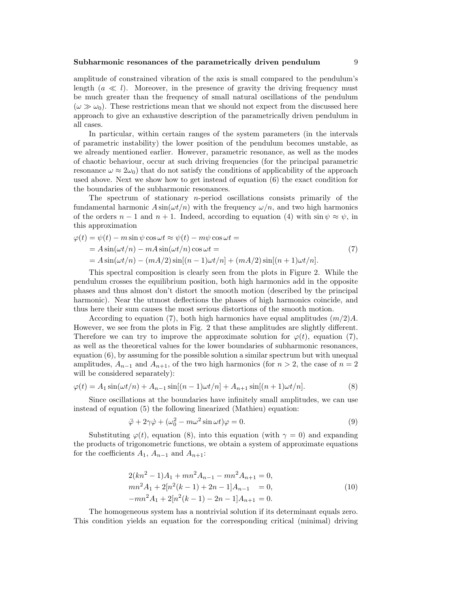amplitude of constrained vibration of the axis is small compared to the pendulum's length  $(a \ll l)$ . Moreover, in the presence of gravity the driving frequency must be much greater than the frequency of small natural oscillations of the pendulum  $(\omega \gg \omega_0)$ . These restrictions mean that we should not expect from the discussed here approach to give an exhaustive description of the parametrically driven pendulum in all cases.

In particular, within certain ranges of the system parameters (in the intervals of parametric instability) the lower position of the pendulum becomes unstable, as we already mentioned earlier. However, parametric resonance, as well as the modes of chaotic behaviour, occur at such driving frequencies (for the principal parametric resonance  $\omega \approx 2\omega_0$ ) that do not satisfy the conditions of applicability of the approach used above. Next we show how to get instead of equation (6) the exact condition for the boundaries of the subharmonic resonances.

The spectrum of stationary n-period oscillations consists primarily of the fundamental harmonic  $A \sin(\omega t/n)$  with the frequency  $\omega/n$ , and two high harmonics of the orders  $n-1$  and  $n+1$ . Indeed, according to equation (4) with  $\sin \psi \approx \psi$ , in this approximation

$$
\varphi(t) = \psi(t) - m \sin \psi \cos \omega t \approx \psi(t) - m\psi \cos \omega t =
$$
  
=  $A \sin(\omega t/n) - mA \sin(\omega t/n) \cos \omega t =$   
=  $A \sin(\omega t/n) - (mA/2) \sin[(n-1)\omega t/n] + (mA/2) \sin[(n+1)\omega t/n].$  (7)

This spectral composition is clearly seen from the plots in Figure 2. While the pendulum crosses the equilibrium position, both high harmonics add in the opposite phases and thus almost don't distort the smooth motion (described by the principal harmonic). Near the utmost deflections the phases of high harmonics coincide, and thus here their sum causes the most serious distortions of the smooth motion.

According to equation (7), both high harmonics have equal amplitudes  $(m/2)A$ . However, we see from the plots in Fig. 2 that these amplitudes are slightly different. Therefore we can try to improve the approximate solution for  $\varphi(t)$ , equation (7), as well as the theoretical values for the lower boundaries of subharmonic resonances, equation (6), by assuming for the possible solution a similar spectrum but with unequal amplitudes,  $A_{n-1}$  and  $A_{n+1}$ , of the two high harmonics (for  $n > 2$ , the case of  $n = 2$ ) will be considered separately):

$$
\varphi(t) = A_1 \sin(\omega t/n) + A_{n-1} \sin[(n-1)\omega t/n] + A_{n+1} \sin[(n+1)\omega t/n]. \tag{8}
$$

Since oscillations at the boundaries have infinitely small amplitudes, we can use instead of equation (5) the following linearized (Mathieu) equation:

$$
\ddot{\varphi} + 2\gamma \dot{\varphi} + (\omega_0^2 - m\omega^2 \sin \omega t)\varphi = 0.
$$
\n(9)

Substituting  $\varphi(t)$ , equation (8), into this equation (with  $\gamma = 0$ ) and expanding the products of trigonometric functions, we obtain a system of approximate equations for the coefficients  $A_1$ ,  $A_{n-1}$  and  $A_{n+1}$ :

$$
2(kn2 - 1)A1 + mn2An-1 - mn2An+1 = 0,mn2A1 + 2[n2(k - 1) + 2n - 1]An-1 = 0,-mn2A1 + 2[n2(k - 1) - 2n - 1]An+1 = 0.
$$
 (10)

The homogeneous system has a nontrivial solution if its determinant equals zero. This condition yields an equation for the corresponding critical (minimal) driving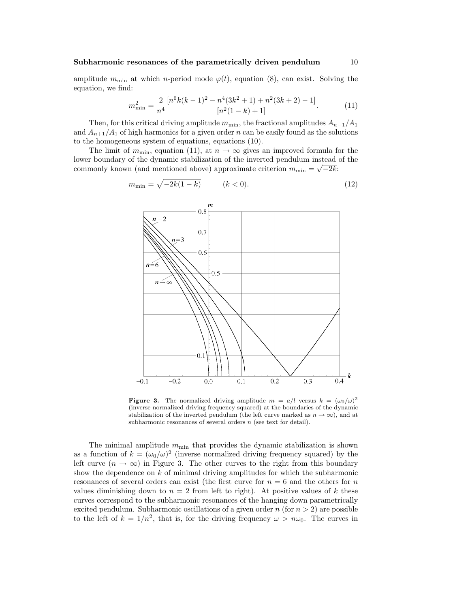amplitude  $m_{\text{min}}$  at which n-period mode  $\varphi(t)$ , equation (8), can exist. Solving the equation, we find:

$$
m_{\min}^2 = \frac{2}{n^4} \frac{[n^6k(k-1)^2 - n^4(3k^2+1) + n^2(3k+2) - 1]}{[n^2(1-k) + 1]}.
$$
 (11)

Then, for this critical driving amplitude  $m_{\text{min}}$ , the fractional amplitudes  $A_{n-1}/A_1$ and  $A_{n+1}/A_1$  of high harmonics for a given order n can be easily found as the solutions to the homogeneous system of equations, equations (10).

The limit of  $m_{\text{min}}$ , equation (11), at  $n \to \infty$  gives an improved formula for the lower boundary of the dynamic stabilization of the inverted pendulum instead of the √ commonly known (and mentioned above) approximate criterion  $m_{\text{min}} = \sqrt{-2k}$ :

$$
m_{\min} = \sqrt{-2k(1-k)} \qquad (k < 0). \tag{12}
$$



**Figure 3.** The normalized driving amplitude  $m = a/l$  versus  $k = (\omega_0/\omega)^2$ (inverse normalized driving frequency squared) at the boundaries of the dynamic stabilization of the inverted pendulum (the left curve marked as  $n \to \infty$ ), and at subharmonic resonances of several orders  $n$  (see text for detail).

The minimal amplitude  $m_{\text{min}}$  that provides the dynamic stabilization is shown as a function of  $k = (\omega_0/\omega)^2$  (inverse normalized driving frequency squared) by the left curve  $(n \to \infty)$  in Figure 3. The other curves to the right from this boundary show the dependence on  $k$  of minimal driving amplitudes for which the subharmonic resonances of several orders can exist (the first curve for  $n = 6$  and the others for n values diminishing down to  $n = 2$  from left to right). At positive values of k these curves correspond to the subharmonic resonances of the hanging down parametrically excited pendulum. Subharmonic oscillations of a given order  $n$  (for  $n > 2$ ) are possible to the left of  $k = 1/n^2$ , that is, for the driving frequency  $\omega > n\omega_0$ . The curves in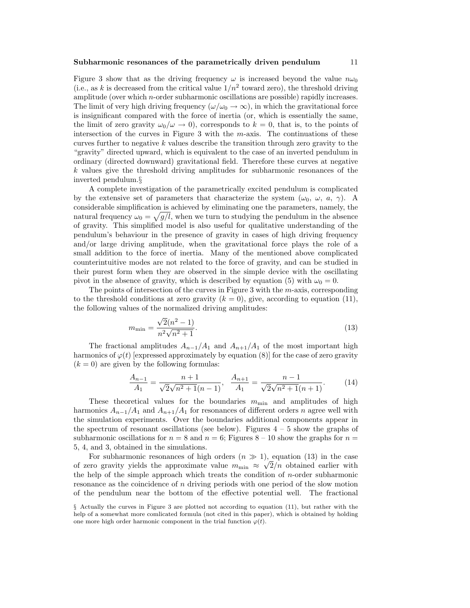Figure 3 show that as the driving frequency  $\omega$  is increased beyond the value  $n\omega_0$ (i.e., as k is decreased from the critical value  $1/n^2$  toward zero), the threshold driving amplitude (over which  $n$ -order subharmonic oscillations are possible) rapidly increases. The limit of very high driving frequency ( $\omega/\omega_0 \to \infty$ ), in which the gravitational force is insignificant compared with the force of inertia (or, which is essentially the same, the limit of zero gravity  $\omega_0/\omega \to 0$ , corresponds to  $k = 0$ , that is, to the points of intersection of the curves in Figure 3 with the m-axis. The continuations of these curves further to negative  $k$  values describe the transition through zero gravity to the "gravity" directed upward, which is equivalent to the case of an inverted pendulum in ordinary (directed downward) gravitational field. Therefore these curves at negative k values give the threshold driving amplitudes for subharmonic resonances of the inverted pendulum.§

A complete investigation of the parametrically excited pendulum is complicated by the extensive set of parameters that characterize the system  $(\omega_0, \omega, a, \gamma)$ . A considerable simplification is achieved by eliminating one the parameters, namely, the natural frequency  $\omega_0 = \sqrt{g/l}$ , when we turn to studying the pendulum in the absence of gravity. This simplified model is also useful for qualitative understanding of the pendulum's behaviour in the presence of gravity in cases of high driving frequency and/or large driving amplitude, when the gravitational force plays the role of a small addition to the force of inertia. Many of the mentioned above complicated counterintuitive modes are not related to the force of gravity, and can be studied in their purest form when they are observed in the simple device with the oscillating pivot in the absence of gravity, which is described by equation (5) with  $\omega_0 = 0$ .

The points of intersection of the curves in Figure 3 with the  $m$ -axis, corresponding to the threshold conditions at zero gravity  $(k = 0)$ , give, according to equation (11), the following values of the normalized driving amplitudes:

$$
m_{\min} = \frac{\sqrt{2}(n^2 - 1)}{n^2\sqrt{n^2 + 1}}.\tag{13}
$$

The fractional amplitudes  $A_{n-1}/A_1$  and  $A_{n+1}/A_1$  of the most important high harmonics of  $\varphi(t)$  [expressed approximately by equation (8)] for the case of zero gravity  $(k = 0)$  are given by the following formulas:

$$
\frac{A_{n-1}}{A_1} = \frac{n+1}{\sqrt{2}\sqrt{n^2+1}(n-1)}, \quad \frac{A_{n+1}}{A_1} = \frac{n-1}{\sqrt{2}\sqrt{n^2+1}(n+1)}.\tag{14}
$$

These theoretical values for the boundaries  $m_{\text{min}}$  and amplitudes of high harmonics  $A_{n-1}/A_1$  and  $A_{n+1}/A_1$  for resonances of different orders n agree well with the simulation experiments. Over the boundaries additional components appear in the spectrum of resonant oscillations (see below). Figures  $4-5$  show the graphs of subharmonic oscillations for  $n = 8$  and  $n = 6$ ; Figures  $8 - 10$  show the graphs for  $n =$ 5, 4, and 3, obtained in the simulations.

For subharmonic resonances of high orders  $(n \gg 1)$ , equation (13) in the case of zero gravity yields the approximate value  $m_{\text{min}} \approx \sqrt{2/n}$  obtained earlier with the help of the simple approach which treats the condition of n-order subharmonic resonance as the coincidence of n driving periods with one period of the slow motion of the pendulum near the bottom of the effective potential well. The fractional

<sup>§</sup> Actually the curves in Figure 3 are plotted not according to equation (11), but rather with the help of a somewhat more comlicated formula (not cited in this paper), which is obtained by holding one more high order harmonic component in the trial function  $\varphi(t)$ .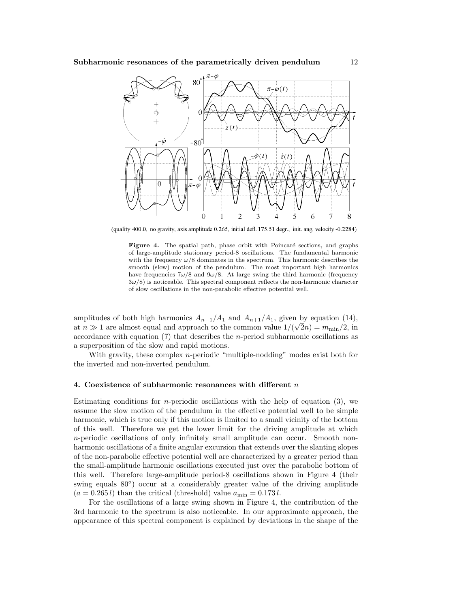

(quality 400.0, no gravity, axis amplitude 0.265, initial defl. 175.51 degr., init. ang. velocity -0.2284)

Figure 4. The spatial path, phase orbit with Poincaré sections, and graphs of large-amplitude stationary period-8 oscillations. The fundamental harmonic with the frequency  $\omega/8$  dominates in the spectrum. This harmonic describes the smooth (slow) motion of the pendulum. The most important high harmonics have frequencies  $7\omega/8$  and  $9\omega/8$ . At large swing the third harmonic (frequency  $3\omega/8$ ) is noticeable. This spectral component reflects the non-harmonic character of slow oscillations in the non-parabolic effective potential well.

amplitudes of both high harmonics  $A_{n-1}/A_1$  and  $A_{n+1}/A_1$ , given by equation (14), at  $n \gg 1$  are almost equal and approach to the common value  $1/(\sqrt{2}n) = m_{\text{min}}/2$ , in accordance with equation  $(7)$  that describes the *n*-period subharmonic oscillations as a superposition of the slow and rapid motions.

With gravity, these complex *n*-periodic "multiple-nodding" modes exist both for the inverted and non-inverted pendulum.

# 4. Coexistence of subharmonic resonances with different  $n$

Estimating conditions for *n*-periodic oscillations with the help of equation (3), we assume the slow motion of the pendulum in the effective potential well to be simple harmonic, which is true only if this motion is limited to a small vicinity of the bottom of this well. Therefore we get the lower limit for the driving amplitude at which n-periodic oscillations of only infinitely small amplitude can occur. Smooth nonharmonic oscillations of a finite angular excursion that extends over the slanting slopes of the non-parabolic effective potential well are characterized by a greater period than the small-amplitude harmonic oscillations executed just over the parabolic bottom of this well. Therefore large-amplitude period-8 oscillations shown in Figure 4 (their swing equals 80<sup>°</sup>) occur at a considerably greater value of the driving amplitude  $(a = 0.265 l)$  than the critical (threshold) value  $a_{\text{min}} = 0.173 l$ .

For the oscillations of a large swing shown in Figure 4, the contribution of the 3rd harmonic to the spectrum is also noticeable. In our approximate approach, the appearance of this spectral component is explained by deviations in the shape of the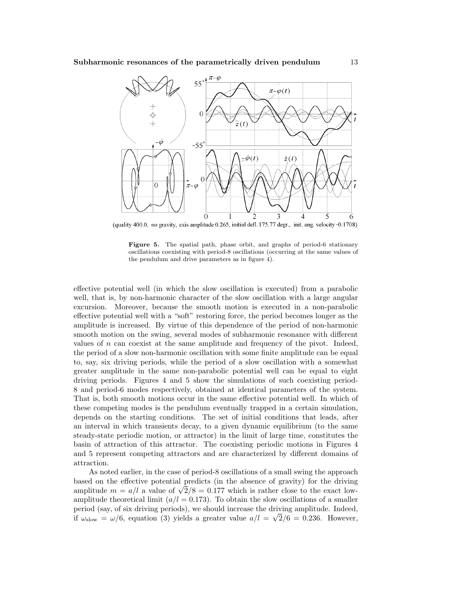

(quality 400.0, no gravity, axis amplitude 0.265, initial defl. 175.77 degr., init. ang. velocity -0.1708)

Figure 5. The spatial path, phase orbit, and graphs of period-6 stationary oscillations coexisting with period-8 oscillations (occurring at the same values of the pendulum and drive parameters as in figure 4).

effective potential well (in which the slow oscillation is executed) from a parabolic well, that is, by non-harmonic character of the slow oscillation with a large angular excursion. Moreover, because the smooth motion is executed in a non-parabolic effective potential well with a "soft" restoring force, the period becomes longer as the amplitude is increased. By virtue of this dependence of the period of non-harmonic smooth motion on the swing, several modes of subharmonic resonance with different values of n can coexist at the same amplitude and frequency of the pivot. Indeed, the period of a slow non-harmonic oscillation with some finite amplitude can be equal to, say, six driving periods, while the period of a slow oscillation with a somewhat greater amplitude in the same non-parabolic potential well can be equal to eight driving periods. Figures 4 and 5 show the simulations of such coexisting period-8 and period-6 modes respectively, obtained at identical parameters of the system. That is, both smooth motions occur in the same effective potential well. In which of these competing modes is the pendulum eventually trapped in a certain simulation, depends on the starting conditions. The set of initial conditions that leads, after an interval in which transients decay, to a given dynamic equilibrium (to the same steady-state periodic motion, or attractor) in the limit of large time, constitutes the basin of attraction of this attractor. The coexisting periodic motions in Figures 4 and 5 represent competing attractors and are characterized by different domains of attraction.

As noted earlier, in the case of period-8 oscillations of a small swing the approach based on the effective potential predicts (in the absence of gravity) for the driving based on the effective potential predicts (in the absence of gravity) for the driving amplitude  $m = a/l$  a value of  $\sqrt{2}/8 = 0.177$  which is rather close to the exact lowamplitude theoretical limit  $(a/l = 0.173)$ . To obtain the slow oscillations of a smaller period (say, of six driving periods), we should increase the driving amplitude. Indeed, if  $\omega_{\text{slow}} = \omega/6$ , equation (3) yields a greater value  $a/l = \sqrt{2/6} = 0.236$ . However,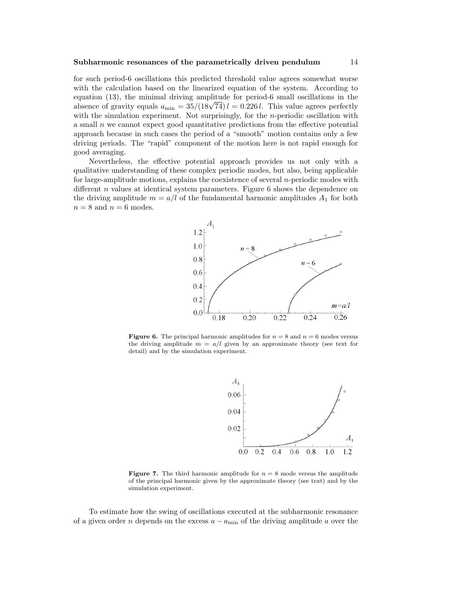for such period-6 oscillations this predicted threshold value agrees somewhat worse with the calculation based on the linearized equation of the system. According to equation (13), the minimal driving amplitude for period-6 small oscillations in the equation (13), the minimal driving amplitude for period-b small oscillations in the absence of gravity equals  $a_{\min} = 35/(18\sqrt{74})l = 0.226 l$ . This value agrees perfectly with the simulation experiment. Not surprisingly, for the  $n$ -periodic oscillation with a small n we cannot expect good quantitative predictions from the effective potential approach because in such cases the period of a "smooth" motion contains only a few driving periods. The "rapid" component of the motion here is not rapid enough for good averaging.

Nevertheless, the effective potential approach provides us not only with a qualitative understanding of these complex periodic modes, but also, being applicable for large-amplitude motions, explains the coexistence of several  $n$ -periodic modes with different  $n$  values at identical system parameters. Figure  $6$  shows the dependence on the driving amplitude  $m = a/l$  of the fundamental harmonic amplitudes  $A_1$  for both  $n = 8$  and  $n = 6$  modes.



**Figure 6.** The principal harmonic amplitudes for  $n = 8$  and  $n = 6$  modes versus the driving amplitude  $m = a/l$  given by an approximate theory (see text for detail) and by the simulation experiment.



**Figure 7.** The third harmonic amplitude for  $n = 8$  mode versus the amplitude of the principal harmonic given by the approximate theory (see text) and by the simulation experiment.

To estimate how the swing of oscillations executed at the subharmonic resonance of a given order n depends on the excess  $a - a_{\text{min}}$  of the driving amplitude a over the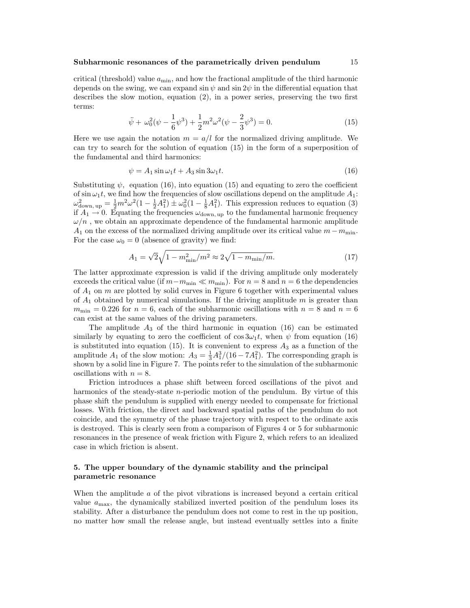critical (threshold) value  $a_{\min}$ , and how the fractional amplitude of the third harmonic depends on the swing, we can expand  $\sin \psi$  and  $\sin 2\psi$  in the differential equation that describes the slow motion, equation (2), in a power series, preserving the two first terms:

$$
\ddot{\psi} + \omega_0^2(\psi - \frac{1}{6}\psi^3) + \frac{1}{2}m^2\omega^2(\psi - \frac{2}{3}\psi^3) = 0.
$$
\n(15)

Here we use again the notation  $m = a/l$  for the normalized driving amplitude. We can try to search for the solution of equation (15) in the form of a superposition of the fundamental and third harmonics:

$$
\psi = A_1 \sin \omega_1 t + A_3 \sin 3\omega_1 t. \tag{16}
$$

Substituting  $\psi$ , equation (16), into equation (15) and equating to zero the coefficient of  $\sin \omega_1 t$ , we find how the frequencies of slow oscillations depend on the amplitude  $A_1$ :  $\omega_{\text{down, up}}^2 = \frac{1}{2}m^2\omega^2(1-\frac{1}{2}A_1^2) \pm \omega_0^2(1-\frac{1}{8}A_1^2)$ . This expression reduces to equation (3) if  $A_1 \rightarrow 0$ . Equating the frequencies  $\omega_{\text{down, up}}$  to the fundamental harmonic frequency  $\omega/n$ , we obtain an approximate dependence of the fundamental harmonic amplitude  $A_1$  on the excess of the normalized driving amplitude over its critical value  $m - m_{\text{min}}$ . For the case  $\omega_0 = 0$  (absence of gravity) we find:

$$
A_1 = \sqrt{2}\sqrt{1 - m_{\min}^2/m^2} \approx 2\sqrt{1 - m_{\min}/m}.
$$
 (17)

The latter approximate expression is valid if the driving amplitude only moderately exceeds the critical value (if  $m-m_{\text{min}} \ll m_{\text{min}}$ ). For  $n=8$  and  $n=6$  the dependencies of  $A_1$  on  $m$  are plotted by solid curves in Figure 6 together with experimental values of  $A_1$  obtained by numerical simulations. If the driving amplitude m is greater than  $m_{\text{min}} = 0.226$  for  $n = 6$ , each of the subharmonic oscillations with  $n = 8$  and  $n = 6$ can exist at the same values of the driving parameters.

The amplitude  $A_3$  of the third harmonic in equation (16) can be estimated similarly by equating to zero the coefficient of  $\cos 3\omega_1 t$ , when  $\psi$  from equation (16) is substituted into equation (15). It is convenient to express  $A_3$  as a function of the amplitude  $A_1$  of the slow motion:  $A_3 = \frac{1}{3}A_1^3/(16 - 7A_1^2)$ . The corresponding graph is shown by a solid line in Figure 7. The points refer to the simulation of the subharmonic oscillations with  $n = 8$ .

Friction introduces a phase shift between forced oscillations of the pivot and harmonics of the steady-state n-periodic motion of the pendulum. By virtue of this phase shift the pendulum is supplied with energy needed to compensate for frictional losses. With friction, the direct and backward spatial paths of the pendulum do not coincide, and the symmetry of the phase trajectory with respect to the ordinate axis is destroyed. This is clearly seen from a comparison of Figures 4 or 5 for subharmonic resonances in the presence of weak friction with Figure 2, which refers to an idealized case in which friction is absent.

# 5. The upper boundary of the dynamic stability and the principal parametric resonance

When the amplitude  $a$  of the pivot vibrations is increased beyond a certain critical value  $a_{\text{max}}$ , the dynamically stabilized inverted position of the pendulum loses its stability. After a disturbance the pendulum does not come to rest in the up position, no matter how small the release angle, but instead eventually settles into a finite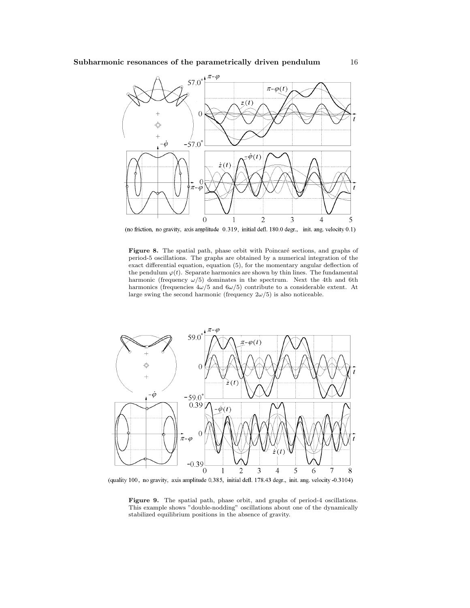

(no friction, no gravity, axis amplitude 0.319, initial defl. 180.0 degr., init. ang. velocity 0.1)

Figure 8. The spatial path, phase orbit with Poincaré sections, and graphs of period-5 oscillations. The graphs are obtained by a numerical integration of the exact differential equation, equation (5), for the momentary angular deflection of the pendulum  $\varphi(t)$ . Separate harmonics are shown by thin lines. The fundamental harmonic (frequency  $\omega/5$ ) dominates in the spectrum. Next the 4th and 6th harmonics (frequencies  $4\omega/5$  and  $6\omega/5$ ) contribute to a considerable extent. At large swing the second harmonic (frequency  $2\omega/5$ ) is also noticeable.



(quality 100, no gravity, axis amplitude 0.385, initial defl. 178.43 degr., init. ang. velocity -0.3104)

Figure 9. The spatial path, phase orbit, and graphs of period-4 oscillations. This example shows "double-nodding" oscillations about one of the dynamically stabilized equilibrium positions in the absence of gravity.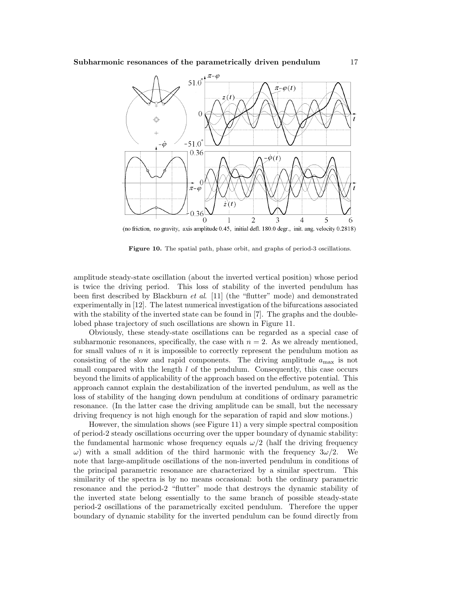

Figure 10. The spatial path, phase orbit, and graphs of period-3 oscillations.

amplitude steady-state oscillation (about the inverted vertical position) whose period is twice the driving period. This loss of stability of the inverted pendulum has been first described by Blackburn et al. [11] (the "flutter" mode) and demonstrated experimentally in [12]. The latest numerical investigation of the bifurcations associated with the stability of the inverted state can be found in [7]. The graphs and the doublelobed phase trajectory of such oscillations are shown in Figure 11.

Obviously, these steady-state oscillations can be regarded as a special case of subharmonic resonances, specifically, the case with  $n = 2$ . As we already mentioned, for small values of  $n$  it is impossible to correctly represent the pendulum motion as consisting of the slow and rapid components. The driving amplitude  $a_{\text{max}}$  is not small compared with the length l of the pendulum. Consequently, this case occurs beyond the limits of applicability of the approach based on the effective potential. This approach cannot explain the destabilization of the inverted pendulum, as well as the loss of stability of the hanging down pendulum at conditions of ordinary parametric resonance. (In the latter case the driving amplitude can be small, but the necessary driving frequency is not high enough for the separation of rapid and slow motions.)

However, the simulation shows (see Figure 11) a very simple spectral composition of period-2 steady oscillations occurring over the upper boundary of dynamic stability: the fundamental harmonic whose frequency equals  $\omega/2$  (half the driving frequency ω) with a small addition of the third harmonic with the frequency  $3ω/2$ . We note that large-amplitude oscillations of the non-inverted pendulum in conditions of the principal parametric resonance are characterized by a similar spectrum. This similarity of the spectra is by no means occasional: both the ordinary parametric resonance and the period-2 "flutter" mode that destroys the dynamic stability of the inverted state belong essentially to the same branch of possible steady-state period-2 oscillations of the parametrically excited pendulum. Therefore the upper boundary of dynamic stability for the inverted pendulum can be found directly from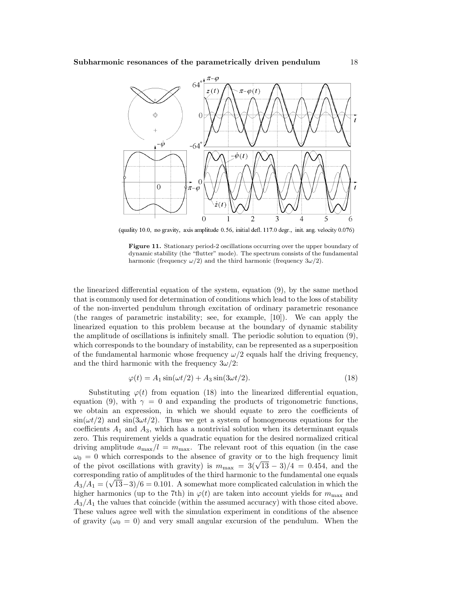

(quality 10.0, no gravity, axis amplitude 0.56, initial defl. 117.0 degr., init. ang. velocity 0.076)

Figure 11. Stationary period-2 oscillations occurring over the upper boundary of dynamic stability (the "flutter" mode). The spectrum consists of the fundamental harmonic (frequency  $\omega/2$ ) and the third harmonic (frequency  $3\omega/2$ ).

the linearized differential equation of the system, equation (9), by the same method that is commonly used for determination of conditions which lead to the loss of stability of the non-inverted pendulum through excitation of ordinary parametric resonance (the ranges of parametric instability; see, for example, [10]). We can apply the linearized equation to this problem because at the boundary of dynamic stability the amplitude of oscillations is infinitely small. The periodic solution to equation (9), which corresponds to the boundary of instability, can be represented as a superposition of the fundamental harmonic whose frequency  $\omega/2$  equals half the driving frequency, and the third harmonic with the frequency  $3\omega/2$ :

$$
\varphi(t) = A_1 \sin(\omega t/2) + A_3 \sin(3\omega t/2). \tag{18}
$$

Substituting  $\varphi(t)$  from equation (18) into the linearized differential equation, equation (9), with  $\gamma = 0$  and expanding the products of trigonometric functions, we obtain an expression, in which we should equate to zero the coefficients of  $\sin(\omega t/2)$  and  $\sin(3\omega t/2)$ . Thus we get a system of homogeneous equations for the coefficients  $A_1$  and  $A_3$ , which has a nontrivial solution when its determinant equals zero. This requirement yields a quadratic equation for the desired normalized critical driving amplitude  $a_{\text{max}}/l = m_{\text{max}}$ . The relevant root of this equation (in the case  $\omega_0 = 0$  which corresponds to the absence of gravity or to the high frequency limit  $\omega_0 = 0$  which corresponds to the absence of gravity or to the high frequency limit of the pivot oscillations with gravity) is  $m_{\text{max}} = 3(\sqrt{13} - 3)/4 = 0.454$ , and the corresponding ratio of amplitudes of the third harmonic to the fundamental one equals corresponding ratio of amplitudes of the third harmonic to the fundamental one equals  $A_3/A_1 = (\sqrt{13}-3)/6 = 0.101$ . A somewhat more complicated calculation in which the higher harmonics (up to the 7th) in  $\varphi(t)$  are taken into account yields for  $m_{\text{max}}$  and  $A_3/A_1$  the values that coincide (within the assumed accuracy) with those cited above. These values agree well with the simulation experiment in conditions of the absence of gravity ( $\omega_0 = 0$ ) and very small angular excursion of the pendulum. When the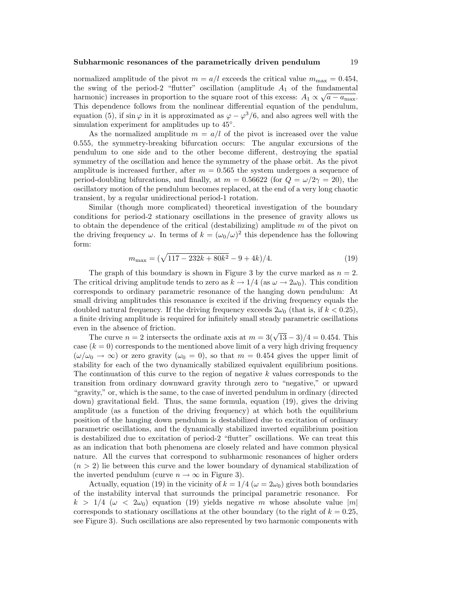normalized amplitude of the pivot  $m = a/l$  exceeds the critical value  $m_{\text{max}} = 0.454$ , the swing of the period-2 "flutter" oscillation (amplitude  $A_1$  of the fundamental harmonic) increases in proportion to the square root of this excess:  $A_1 \propto \sqrt{a - a_{\text{max}}}$ . This dependence follows from the nonlinear differential equation of the pendulum, equation (5), if  $\sin \varphi$  in it is approximated as  $\varphi - \varphi^3/6$ , and also agrees well with the simulation experiment for amplitudes up to  $45^\circ$ .

As the normalized amplitude  $m = a/l$  of the pivot is increased over the value 0.555, the symmetry-breaking bifurcation occurs: The angular excursions of the pendulum to one side and to the other become different, destroying the spatial symmetry of the oscillation and hence the symmetry of the phase orbit. As the pivot amplitude is increased further, after  $m = 0.565$  the system undergoes a sequence of period-doubling bifurcations, and finally, at  $m = 0.56622$  (for  $Q = \omega/2\gamma = 20$ ), the oscillatory motion of the pendulum becomes replaced, at the end of a very long chaotic transient, by a regular unidirectional period-1 rotation.

Similar (though more complicated) theoretical investigation of the boundary conditions for period-2 stationary oscillations in the presence of gravity allows us to obtain the dependence of the critical (destabilizing) amplitude  $m$  of the pivot on the driving frequency  $\omega$ . In terms of  $k = (\omega_0/\omega)^2$  this dependence has the following form:

$$
m_{\text{max}} = (\sqrt{117 - 232k + 80k^2} - 9 + 4k)/4. \tag{19}
$$

The graph of this boundary is shown in Figure 3 by the curve marked as  $n = 2$ . The critical driving amplitude tends to zero as  $k \to 1/4$  (as  $\omega \to 2\omega_0$ ). This condition corresponds to ordinary parametric resonance of the hanging down pendulum: At small driving amplitudes this resonance is excited if the driving frequency equals the doubled natural frequency. If the driving frequency exceeds  $2\omega_0$  (that is, if  $k < 0.25$ ), a finite driving amplitude is required for infinitely small steady parametric oscillations even in the absence of friction.

The curve  $n = 2$  intersects the ordinate axis at  $m = 3(\sqrt{13} - 3)/4 = 0.454$ . This case  $(k = 0)$  corresponds to the mentioned above limit of a very high driving frequency  $(\omega/\omega_0 \rightarrow \infty)$  or zero gravity  $(\omega_0 = 0)$ , so that  $m = 0.454$  gives the upper limit of stability for each of the two dynamically stabilized equivalent equilibrium positions. The continuation of this curve to the region of negative k values corresponds to the transition from ordinary downward gravity through zero to "negative," or upward "gravity," or, which is the same, to the case of inverted pendulum in ordinary (directed down) gravitational field. Thus, the same formula, equation (19), gives the driving amplitude (as a function of the driving frequency) at which both the equilibrium position of the hanging down pendulum is destabilized due to excitation of ordinary parametric oscillations, and the dynamically stabilized inverted equilibrium position is destabilized due to excitation of period-2 "flutter" oscillations. We can treat this as an indication that both phenomena are closely related and have common physical nature. All the curves that correspond to subharmonic resonances of higher orders  $(n > 2)$  lie between this curve and the lower boundary of dynamical stabilization of the inverted pendulum (curve  $n \to \infty$  in Figure 3).

Actually, equation (19) in the vicinity of  $k = 1/4$  ( $\omega = 2\omega_0$ ) gives both boundaries of the instability interval that surrounds the principal parametric resonance. For  $k > 1/4$  ( $\omega < 2\omega_0$ ) equation (19) yields negative m whose absolute value  $|m|$ corresponds to stationary oscillations at the other boundary (to the right of  $k = 0.25$ , see Figure 3). Such oscillations are also represented by two harmonic components with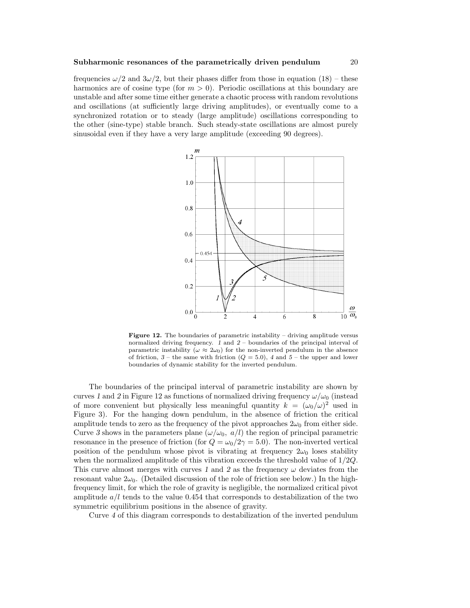frequencies  $\omega/2$  and  $3\omega/2$ , but their phases differ from those in equation (18) – these harmonics are of cosine type (for  $m > 0$ ). Periodic oscillations at this boundary are unstable and after some time either generate a chaotic process with random revolutions and oscillations (at sufficiently large driving amplitudes), or eventually come to a synchronized rotation or to steady (large amplitude) oscillations corresponding to the other (sine-type) stable branch. Such steady-state oscillations are almost purely sinusoidal even if they have a very large amplitude (exceeding 90 degrees).



Figure 12. The boundaries of parametric instability – driving amplitude versus normalized driving frequency. 1 and  $2$  – boundaries of the principal interval of parametric instability ( $\omega \approx 2\omega_0$ ) for the non-inverted pendulum in the absence of friction,  $3$  – the same with friction  $(Q = 5.0)$ , 4 and  $5$  – the upper and lower boundaries of dynamic stability for the inverted pendulum.

The boundaries of the principal interval of parametric instability are shown by curves 1 and 2 in Figure 12 as functions of normalized driving frequency  $\omega/\omega_0$  (instead of more convenient but physically less meaningful quantity  $k = (\omega_0/\omega)^2$  used in Figure 3). For the hanging down pendulum, in the absence of friction the critical amplitude tends to zero as the frequency of the pivot approaches  $2\omega_0$  from either side. Curve 3 shows in the parameters plane  $(\omega/\omega_0, a/l)$  the region of principal parametric resonance in the presence of friction (for  $Q = \omega_0/2\gamma = 5.0$ ). The non-inverted vertical position of the pendulum whose pivot is vibrating at frequency  $2\omega_0$  loses stability when the normalized amplitude of this vibration exceeds the threshold value of 1/2Q. This curve almost merges with curves 1 and 2 as the frequency  $\omega$  deviates from the resonant value  $2\omega_0$ . (Detailed discussion of the role of friction see below.) In the highfrequency limit, for which the role of gravity is negligible, the normalized critical pivot amplitude  $a/l$  tends to the value 0.454 that corresponds to destabilization of the two symmetric equilibrium positions in the absence of gravity.

Curve 4 of this diagram corresponds to destabilization of the inverted pendulum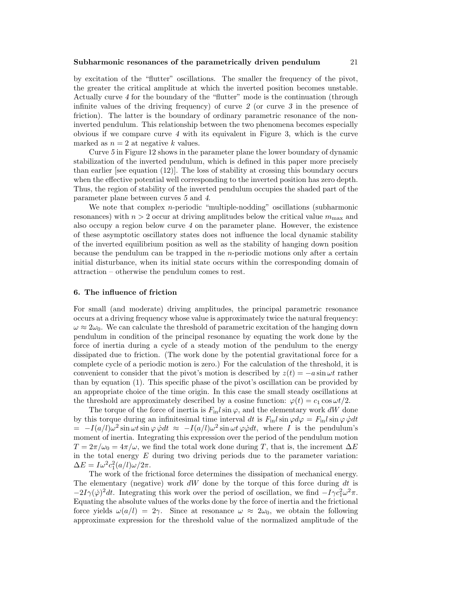by excitation of the "flutter" oscillations. The smaller the frequency of the pivot, the greater the critical amplitude at which the inverted position becomes unstable. Actually curve 4 for the boundary of the "flutter" mode is the continuation (through infinite values of the driving frequency) of curve 2 (or curve 3 in the presence of friction). The latter is the boundary of ordinary parametric resonance of the noninverted pendulum. This relationship between the two phenomena becomes especially obvious if we compare curve 4 with its equivalent in Figure 3, which is the curve marked as  $n = 2$  at negative k values.

Curve 5 in Figure 12 shows in the parameter plane the lower boundary of dynamic stabilization of the inverted pendulum, which is defined in this paper more precisely than earlier [see equation (12)]. The loss of stability at crossing this boundary occurs when the effective potential well corresponding to the inverted position has zero depth. Thus, the region of stability of the inverted pendulum occupies the shaded part of the parameter plane between curves 5 and 4.

We note that complex *n*-periodic "multiple-nodding" oscillations (subharmonic resonances) with  $n > 2$  occur at driving amplitudes below the critical value  $m_{\text{max}}$  and also occupy a region below curve 4 on the parameter plane. However, the existence of these asymptotic oscillatory states does not influence the local dynamic stability of the inverted equilibrium position as well as the stability of hanging down position because the pendulum can be trapped in the  $n$ -periodic motions only after a certain initial disturbance, when its initial state occurs within the corresponding domain of attraction – otherwise the pendulum comes to rest.

# 6. The influence of friction

For small (and moderate) driving amplitudes, the principal parametric resonance occurs at a driving frequency whose value is approximately twice the natural frequency:  $\omega \approx 2\omega_0$ . We can calculate the threshold of parametric excitation of the hanging down pendulum in condition of the principal resonance by equating the work done by the force of inertia during a cycle of a steady motion of the pendulum to the energy dissipated due to friction. (The work done by the potential gravitational force for a complete cycle of a periodic motion is zero.) For the calculation of the threshold, it is convenient to consider that the pivot's motion is described by  $z(t) = -a \sin \omega t$  rather than by equation (1). This specific phase of the pivot's oscillation can be provided by an appropriate choice of the time origin. In this case the small steady oscillations at the threshold are approximately described by a cosine function:  $\varphi(t) = c_1 \cos \omega t/2$ .

The torque of the force of inertia is  $F_{in} l \sin \varphi$ , and the elementary work dW done by this torque during an infinitesimal time interval dt is  $F_{in}l\sin\varphi d\varphi = F_{in}l\sin\varphi \dot{\varphi} dt$  $= -I(a/l)\omega^2 \sin \omega t \sin \varphi \dot{\varphi} dt \approx -I(a/l)\omega^2 \sin \omega t \varphi \dot{\varphi} dt$ , where I is the pendulum's moment of inertia. Integrating this expression over the period of the pendulum motion  $T = 2\pi/\omega_0 = 4\pi/\omega$ , we find the total work done during T, that is, the increment  $\Delta E$ in the total energy  $E$  during two driving periods due to the parameter variation:  $\Delta E = I \omega^2 c_1^2 (a/l) \omega / 2\pi.$ 

The work of the frictional force determines the dissipation of mechanical energy. The elementary (negative) work  $dW$  done by the torque of this force during  $dt$  is  $-2I\gamma(\dot{\varphi})^2dt$ . Integrating this work over the period of oscillation, we find  $-I\gamma c_1^2\omega^2\pi$ . Equating the absolute values of the works done by the force of inertia and the frictional force yields  $\omega(a/l) = 2\gamma$ . Since at resonance  $\omega \approx 2\omega_0$ , we obtain the following approximate expression for the threshold value of the normalized amplitude of the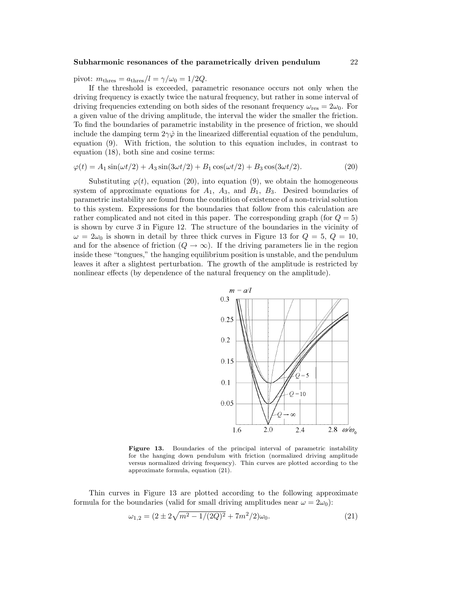pivot:  $m_{\text{thres}} = a_{\text{thres}}/l = \gamma/\omega_0 = 1/2Q$ .

If the threshold is exceeded, parametric resonance occurs not only when the driving frequency is exactly twice the natural frequency, but rather in some interval of driving frequencies extending on both sides of the resonant frequency  $\omega_{res} = 2\omega_0$ . For a given value of the driving amplitude, the interval the wider the smaller the friction. To find the boundaries of parametric instability in the presence of friction, we should include the damping term  $2\gamma\dot{\varphi}$  in the linearized differential equation of the pendulum, equation (9). With friction, the solution to this equation includes, in contrast to equation (18), both sine and cosine terms:

$$
\varphi(t) = A_1 \sin(\omega t/2) + A_3 \sin(3\omega t/2) + B_1 \cos(\omega t/2) + B_3 \cos(3\omega t/2). \tag{20}
$$

Substituting  $\varphi(t)$ , equation (20), into equation (9), we obtain the homogeneous system of approximate equations for  $A_1$ ,  $A_3$ , and  $B_1$ ,  $B_3$ . Desired boundaries of parametric instability are found from the condition of existence of a non-trivial solution to this system. Expressions for the boundaries that follow from this calculation are rather complicated and not cited in this paper. The corresponding graph (for  $Q = 5$ ) is shown by curve 3 in Figure 12. The structure of the boundaries in the vicinity of  $\omega = 2\omega_0$  is shown in detail by three thick curves in Figure 13 for  $Q = 5$ ,  $Q = 10$ , and for the absence of friction  $(Q \to \infty)$ . If the driving parameters lie in the region inside these "tongues," the hanging equilibrium position is unstable, and the pendulum leaves it after a slightest perturbation. The growth of the amplitude is restricted by nonlinear effects (by dependence of the natural frequency on the amplitude).



Figure 13. Boundaries of the principal interval of parametric instability for the hanging down pendulum with friction (normalized driving amplitude versus normalized driving frequency). Thin curves are plotted according to the approximate formula, equation (21).

Thin curves in Figure 13 are plotted according to the following approximate formula for the boundaries (valid for small driving amplitudes near  $\omega = 2\omega_0$ ):

$$
\omega_{1,2} = (2 \pm 2\sqrt{m^2 - 1/(2Q)^2} + 7m^2/2)\omega_0.
$$
\n(21)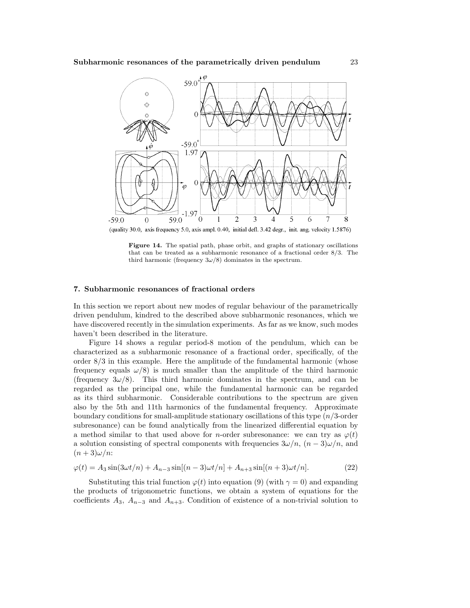

(quality 30.0, axis frequency 5.0, axis ampl. 0.40, initial defl. 3.42 degr., init. ang. velocity 1.5876)

Figure 14. The spatial path, phase orbit, and graphs of stationary oscillations that can be treated as a subharmonic resonance of a fractional order 8/3. The third harmonic (frequency  $3\omega/8$ ) dominates in the spectrum.

#### 7. Subharmonic resonances of fractional orders

In this section we report about new modes of regular behaviour of the parametrically driven pendulum, kindred to the described above subharmonic resonances, which we have discovered recently in the simulation experiments. As far as we know, such modes haven't been described in the literature.

Figure 14 shows a regular period-8 motion of the pendulum, which can be characterized as a subharmonic resonance of a fractional order, specifically, of the order 8/3 in this example. Here the amplitude of the fundamental harmonic (whose frequency equals  $\omega/8$  is much smaller than the amplitude of the third harmonic (frequency  $3\omega/8$ ). This third harmonic dominates in the spectrum, and can be regarded as the principal one, while the fundamental harmonic can be regarded as its third subharmonic. Considerable contributions to the spectrum are given also by the 5th and 11th harmonics of the fundamental frequency. Approximate boundary conditions for small-amplitude stationary oscillations of this type  $(n/3$ -order subresonance) can be found analytically from the linearized differential equation by a method similar to that used above for *n*-order subresonance: we can try as  $\varphi(t)$ a solution consisting of spectral components with frequencies  $3\omega/n$ ,  $(n-3)\omega/n$ , and  $(n+3)\omega/n$ :

$$
\varphi(t) = A_3 \sin(3\omega t/n) + A_{n-3} \sin[(n-3)\omega t/n] + A_{n+3} \sin[(n+3)\omega t/n].
$$
 (22)

Substituting this trial function  $\varphi(t)$  into equation (9) (with  $\gamma = 0$ ) and expanding the products of trigonometric functions, we obtain a system of equations for the coefficients  $A_3$ ,  $A_{n-3}$  and  $A_{n+3}$ . Condition of existence of a non-trivial solution to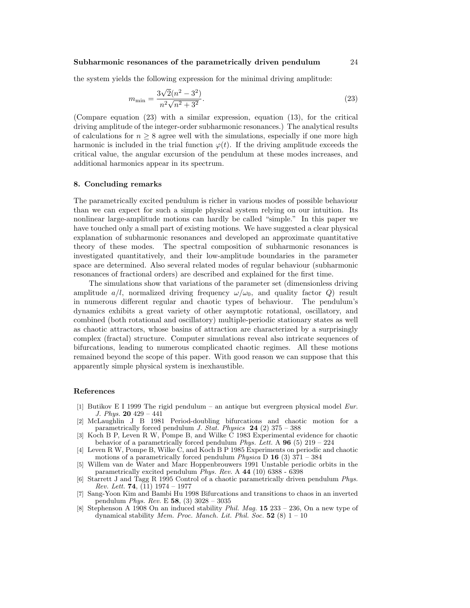the system yields the following expression for the minimal driving amplitude:

$$
m_{\min} = \frac{3\sqrt{2}(n^2 - 3^2)}{n^2\sqrt{n^2 + 3^2}}.\tag{23}
$$

(Compare equation (23) with a similar expression, equation (13), for the critical driving amplitude of the integer-order subharmonic resonances.) The analytical results of calculations for  $n \geq 8$  agree well with the simulations, especially if one more high harmonic is included in the trial function  $\varphi(t)$ . If the driving amplitude exceeds the critical value, the angular excursion of the pendulum at these modes increases, and additional harmonics appear in its spectrum.

#### 8. Concluding remarks

The parametrically excited pendulum is richer in various modes of possible behaviour than we can expect for such a simple physical system relying on our intuition. Its nonlinear large-amplitude motions can hardly be called "simple." In this paper we have touched only a small part of existing motions. We have suggested a clear physical explanation of subharmonic resonances and developed an approximate quantitative theory of these modes. The spectral composition of subharmonic resonances is investigated quantitatively, and their low-amplitude boundaries in the parameter space are determined. Also several related modes of regular behaviour (subharmonic resonances of fractional orders) are described and explained for the first time.

The simulations show that variations of the parameter set (dimensionless driving amplitude  $a/l$ , normalized driving frequency  $\omega/\omega_0$ , and quality factor Q) result in numerous different regular and chaotic types of behaviour. The pendulum's dynamics exhibits a great variety of other asymptotic rotational, oscillatory, and combined (both rotational and oscillatory) multiple-periodic stationary states as well as chaotic attractors, whose basins of attraction are characterized by a surprisingly complex (fractal) structure. Computer simulations reveal also intricate sequences of bifurcations, leading to numerous complicated chaotic regimes. All these motions remained beyond the scope of this paper. With good reason we can suppose that this apparently simple physical system is inexhaustible.

# References

- [1] Butikov E I 1999 The rigid pendulum an antique but evergreen physical model  $Eur$ . J. Phys. 20 429 – 441
- [2] McLaughlin J B 1981 Period-doubling bifurcations and chaotic motion for a parametrically forced pendulum J. Stat. Physics  $24$  (2) 375 – 388
- [3] Koch B P, Leven R W, Pompe B, and Wilke C 1983 Experimental evidence for chaotic behavior of a parametrically forced pendulum *Phys. Lett.* A  $96$  (5)  $219 - 224$
- [4] Leven R W, Pompe B, Wilke C, and Koch B P 1985 Experiments on periodic and chaotic motions of a parametrically forced pendulum *Physica* D  $16$  (3)  $371 - 384$
- [5] Willem van de Water and Marc Hoppenbrouwers 1991 Unstable periodic orbits in the parametrically excited pendulum Phys. Rev. A 44 (10) 6388 - 6398
- [6] Starrett J and Tagg R 1995 Control of a chaotic parametrically driven pendulum Phys. Rev. Lett. 74,  $(11)$  1974 – 1977
- [7] Sang-Yoon Kim and Bambi Hu 1998 Bifurcations and transitions to chaos in an inverted pendulum Phys. Rev. E 58, (3) 3028 – 3035
- [8] Stephenson A 1908 On an induced stability Phil. Mag. 15 233 236, On a new type of dynamical stability Mem. Proc. Manch. Lit. Phil. Soc.  $52$  (8)  $1 - 10$